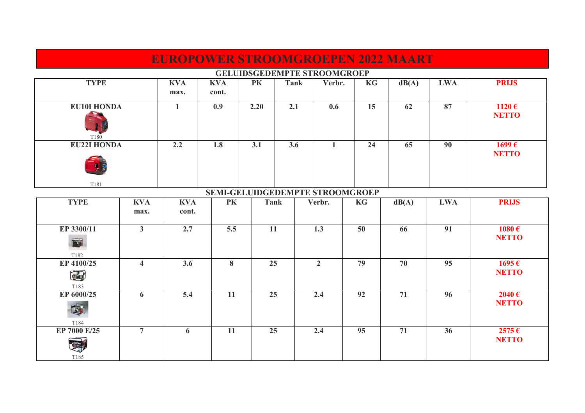| <b>EUROPOWER STROOMGROEPEN 2022 MAART</b> |                    |              |            |             |      |                |           |       |            |                       |  |
|-------------------------------------------|--------------------|--------------|------------|-------------|------|----------------|-----------|-------|------------|-----------------------|--|
| <b>GELUIDSGEDEMPTE STROOMGROEP</b>        |                    |              |            |             |      |                |           |       |            |                       |  |
| <b>TYPE</b>                               |                    | <b>KVA</b>   | <b>KVA</b> | <b>PK</b>   | Tank | Verbr.         | KG        | dB(A) | <b>LWA</b> | <b>PRIJS</b>          |  |
|                                           |                    | max.         | cont.      |             |      |                |           |       |            |                       |  |
| <b>EU10I HONDA</b>                        |                    | $\mathbf{1}$ | 0.9        | 2.20        | 2.1  | 0.6            | 15        | 62    | 87         | 1120 $\epsilon$       |  |
|                                           |                    |              |            |             |      |                |           |       |            | <b>NETTO</b>          |  |
|                                           |                    |              |            |             |      |                |           |       |            |                       |  |
| T <sub>180</sub>                          |                    |              |            |             |      |                |           |       |            |                       |  |
|                                           | <b>EU22I HONDA</b> |              | 1.8        | 3.1         | 3.6  | $\mathbf{1}$   | 24        | 65    | 90         | $1699 \,\epsilon$     |  |
|                                           |                    |              |            |             |      |                |           |       |            | <b>NETTO</b>          |  |
|                                           |                    |              |            |             |      |                |           |       |            |                       |  |
|                                           |                    |              |            |             |      |                |           |       |            |                       |  |
| T181<br>SEMI-GELUIDGEDEMPTE STROOMGROEP   |                    |              |            |             |      |                |           |       |            |                       |  |
| <b>TYPE</b>                               | <b>KVA</b>         | <b>KVA</b>   | PK         | <b>Tank</b> |      | Verbr.         | <b>KG</b> | dB(A) | <b>LWA</b> | <b>PRIJS</b>          |  |
|                                           | max.               | cont.        |            |             |      |                |           |       |            |                       |  |
| EP 3300/11                                | 3 <sup>1</sup>     | 2.7          | 5.5        | <b>11</b>   |      | 1.3            | 50        | 66    | 91         | 1080 $\epsilon$       |  |
|                                           |                    |              |            |             |      |                |           |       |            | <b>NETTO</b>          |  |
| Fa                                        |                    |              |            |             |      |                |           |       |            |                       |  |
| T182                                      |                    |              |            |             |      |                |           |       |            |                       |  |
| EP 4100/25                                | $\overline{4}$     | 8<br>3.6     |            | 25          |      | $\overline{2}$ | 79        | 70    | 95         | $1695 \,\epsilon$     |  |
| Œ                                         |                    |              |            |             |      |                |           |       |            | <b>NETTO</b>          |  |
| T183                                      |                    |              |            |             |      |                |           |       |            |                       |  |
| EP 6000/25                                | 6                  | 5.4          | <b>11</b>  | 25          |      | 2.4            | 92        | 71    | 96         | 2040€<br><b>NETTO</b> |  |
| B                                         |                    |              |            |             |      |                |           |       |            |                       |  |
| T184                                      |                    |              |            |             |      |                |           |       |            |                       |  |
| EP 7000 E/25                              | $\overline{7}$     | 6            | 11         |             | 25   |                | 95        | 71    | 36         | $2575 \in$            |  |
|                                           |                    |              |            |             |      |                |           |       |            | <b>NETTO</b>          |  |
| T185                                      |                    |              |            |             |      |                |           |       |            |                       |  |